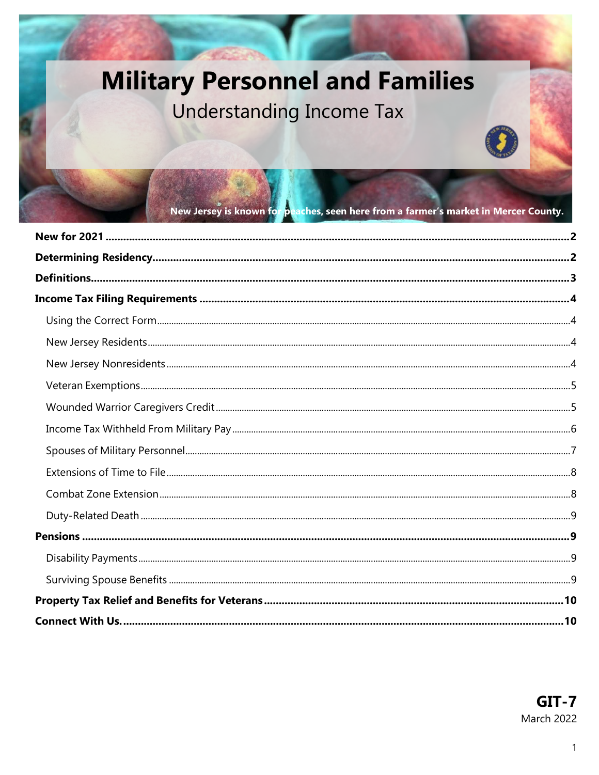# **Military Personnel and Families**

## Understanding Income Tax

New Jersey is known for peaches, seen here from a farmer's market in Mercer County.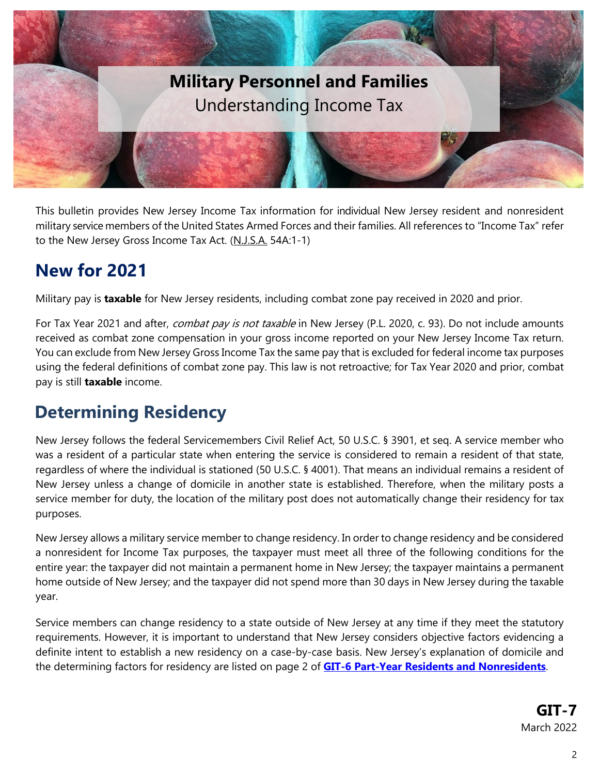

This bulletin provides New Jersey Income Tax information for individual New Jersey resident and nonresident military service members of the United States Armed Forces and their families. All references to "Income Tax" refer to the New Jersey Gross Income Tax Act. (N.J.S.A. 54A:1-1)

### <span id="page-1-0"></span>**New for 2021**

Military pay is **taxable** for New Jersey residents, including combat zone pay received in 2020 and prior.

For Tax Year 2021 and after, *combat pay is not taxable* in New Jersey (P.L. 2020, c. 93). Do not include amounts received as combat zone compensation in your gross income reported on your New Jersey Income Tax return. You can exclude from New Jersey Gross Income Tax the same pay that is excluded for federal income tax purposes using the federal definitions of combat zone pay. This law is not retroactive; for Tax Year 2020 and prior, combat pay is still **taxable** income.

### <span id="page-1-1"></span>**Determining Residency**

New Jersey follows the federal Servicemembers Civil Relief Act, 50 U.S.C. § 3901, et seq. A service member who was a resident of a particular state when entering the service is considered to remain a resident of that state, regardless of where the individual is stationed (50 U.S.C. § 4001). That means an individual remains a resident of New Jersey unless a change of domicile in another state is established. Therefore, when the military posts a service member for duty, the location of the military post does not automatically change their residency for tax purposes.

New Jersey allows a military service member to change residency. In order to change residency and be considered a nonresident for Income Tax purposes, the taxpayer must meet all three of the following conditions for the entire year: the taxpayer did not maintain a permanent home in New Jersey; the taxpayer maintains a permanent home outside of New Jersey; and the taxpayer did not spend more than 30 days in New Jersey during the taxable year.

Service members can change residency to a state outside of New Jersey at any time if they meet the statutory requirements. However, it is important to understand that New Jersey considers objective factors evidencing a definite intent to establish a new residency on a case-by-case basis. New Jersey's explanation of domicile and the determining factors for residency are listed on page 2 of **[GIT-6 Part-Year Residents and Nonresidents](https://www.state.nj.us/treasury/taxation/pdf/pubs/tgi-ee/git6.pdf)**.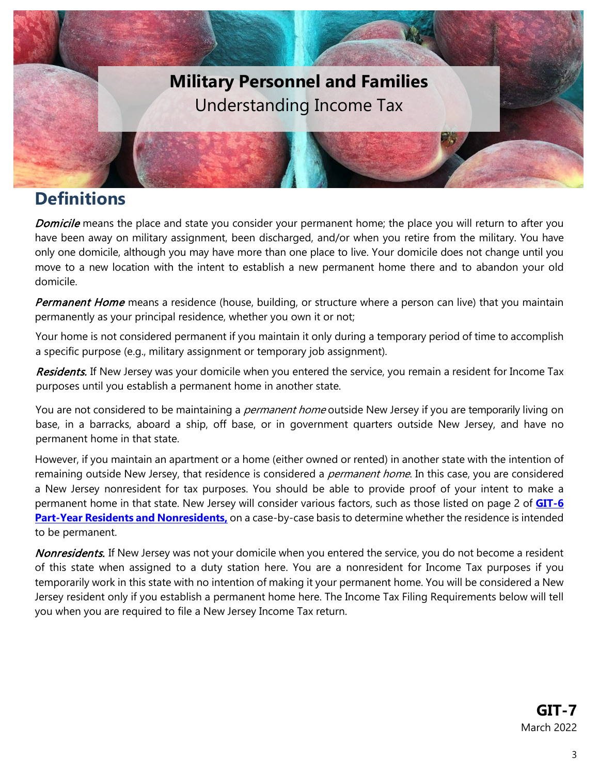

### <span id="page-2-0"></span>**Definitions**

Domicile means the place and state you consider your permanent home; the place you will return to after you have been away on military assignment, been discharged, and/or when you retire from the military. You have only one domicile, although you may have more than one place to live. Your domicile does not change until you move to a new location with the intent to establish a new permanent home there and to abandon your old domicile.

Permanent Home means a residence (house, building, or structure where a person can live) that you maintain permanently as your principal residence, whether you own it or not;

Your home is not considered permanent if you maintain it only during a temporary period of time to accomplish a specific purpose (e.g., military assignment or temporary job assignment).

Residents. If New Jersey was your domicile when you entered the service, you remain a resident for Income Tax purposes until you establish a permanent home in another state.

You are not considered to be maintaining a *permanent home* outside New Jersey if you are temporarily living on base, in a barracks, aboard a ship, off base, or in government quarters outside New Jersey, and have no permanent home in that state.

<span id="page-2-1"></span>However, if you maintain an apartment or a home (either owned or rented) in another state with the intention of remaining outside New Jersey, that residence is considered a *permanent home*. In this case, you are considered a New Jersey nonresident for tax purposes. You should be able to provide proof of your intent to make a permanent home in that state. New Jersey will consider various factors, such as those listed on page 2 of **[GIT-6](https://www.state.nj.us/treasury/taxation/pdf/pubs/tgi-ee/git6.pdf)  [Part-Year Residents and Nonresidents,](https://www.state.nj.us/treasury/taxation/pdf/pubs/tgi-ee/git6.pdf)** on a case-by-case basis to determine whether the residence is intended to be permanent.

Nonresidents. If New Jersey was not your domicile when you entered the service, you do not become a resident of this state when assigned to a duty station here. You are a nonresident for Income Tax purposes if you temporarily work in this state with no intention of making it your permanent home. You will be considered a New Jersey resident only if you establish a permanent home here. The Income Tax Filing Requirements below will tell you when you are required to file a New Jersey Income Tax return.

> **GIT-7** March 2022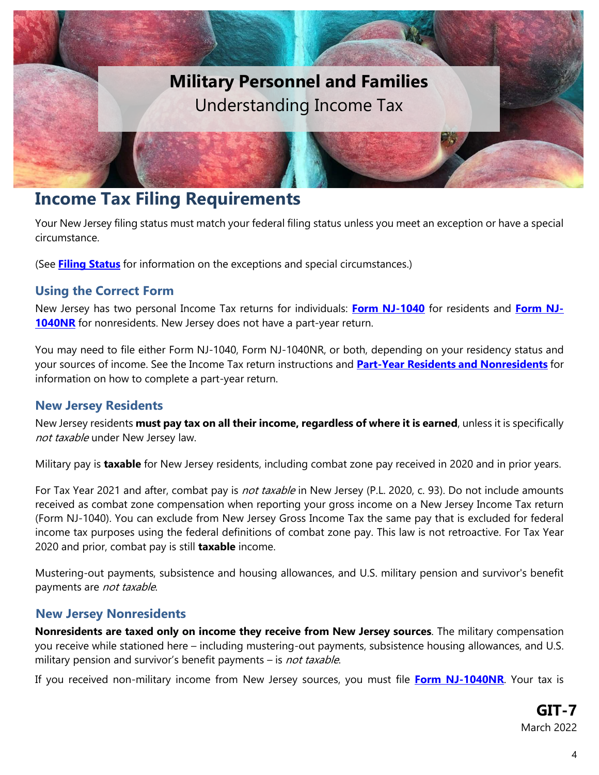

### <span id="page-3-0"></span>**Income Tax Filing Requirements**

Your New Jersey filing status must match your federal filing status unless you meet an exception or have a special circumstance.

<span id="page-3-1"></span>(See **Filing [Status](http://www.state.nj.us/treasury/taxation/pdf/pubs/tgi-ee/git4.pdf)** for information on the exceptions and special circumstances.)

#### **Using the Correct Form**

New Jersey has two personal Income Tax returns for individuals: **[Form NJ-1040](http://www.state.nj.us/treasury/taxation/prntgit.shtml)** for residents and **[Form NJ-](http://www.state.nj.us/treasury/taxation/prntgit.shtml)[1040NR](http://www.state.nj.us/treasury/taxation/prntgit.shtml)** for nonresidents. New Jersey does not have a part-year return.

You may need to file either Form NJ-1040, Form NJ-1040NR, or both, depending on your residency status and your sources of income. See the Income Tax return instructions and **Part-Year Residents and [Nonresidents](http://www.state.nj.us/treasury/taxation/pdf/pubs/tgi-ee/git6.pdf)** for information on how to complete a part-year return.

#### <span id="page-3-2"></span>**New Jersey Residents**

New Jersey residents **must pay tax on all their income, regardless of where it is earned**, unless it is specifically not taxable under New Jersey law.

Military pay is **taxable** for New Jersey residents, including combat zone pay received in 2020 and in prior years.

For Tax Year 2021 and after, combat pay is *not taxable* in New Jersey (P.L. 2020, c. 93). Do not include amounts received as combat zone compensation when reporting your gross income on a New Jersey Income Tax return (Form NJ-1040). You can exclude from New Jersey Gross Income Tax the same pay that is excluded for federal income tax purposes using the federal definitions of combat zone pay. This law is not retroactive. For Tax Year 2020 and prior, combat pay is still **taxable** income.

Mustering-out payments, subsistence and housing allowances, and U.S. military pension and survivor's benefit payments are not taxable.

#### <span id="page-3-3"></span>**New Jersey Nonresidents**

**Nonresidents are taxed only on income they receive from New Jersey sources**. The military compensation you receive while stationed here – including mustering-out payments, subsistence housing allowances, and U.S. military pension and survivor's benefit payments – is *not taxable*.

If you received non-military income from New Jersey sources, you must file **[Form NJ-1040NR](http://www.state.nj.us/treasury/taxation/prntgit.shtml)**. Your tax is

**GIT-7** March 2022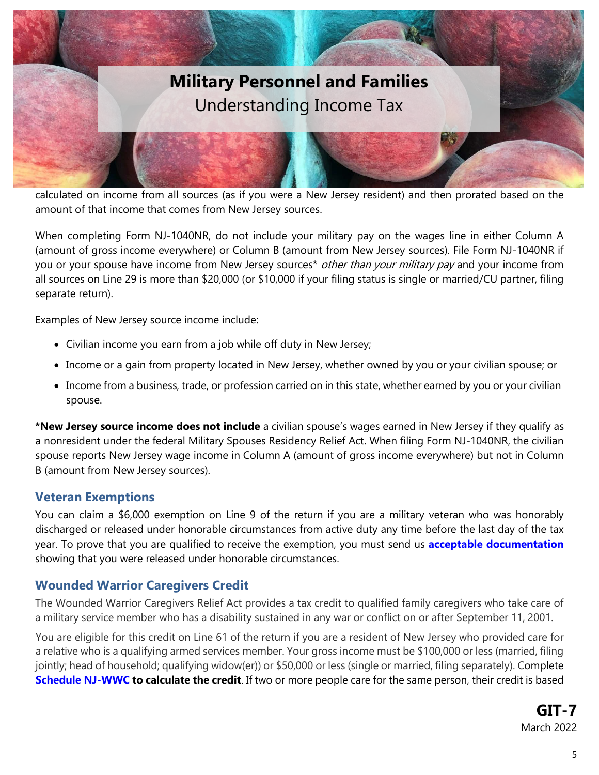

calculated on income from all sources (as if you were a New Jersey resident) and then prorated based on the amount of that income that comes from New Jersey sources.

When completing Form NJ-1040NR, do not include your military pay on the wages line in either Column A (amount of gross income everywhere) or Column B (amount from New Jersey sources). File Form NJ-1040NR if you or your spouse have income from New Jersey sources<sup>\*</sup> other than your military pay and your income from all sources on Line 29 is more than \$20,000 (or \$10,000 if your filing status is single or married/CU partner, filing separate return).

Examples of New Jersey source income include:

- Civilian income you earn from a job while off duty in New Jersey;
- Income or a gain from property located in New Jersey, whether owned by you or your civilian spouse; or
- Income from a business, trade, or profession carried on in this state, whether earned by you or your civilian spouse.

**\*New Jersey source income does not include** a civilian spouse's wages earned in New Jersey if they qualify as a nonresident under the federal Military Spouses Residency Relief Act. When filing Form NJ-1040NR, the civilian spouse reports New Jersey wage income in Column A (amount of gross income everywhere) but not in Column B (amount from New Jersey sources).

#### <span id="page-4-0"></span>**Veteran Exemptions**

You can claim a \$6,000 exemption on Line 9 of the return if you are a military veteran who was honorably discharged or released under honorable circumstances from active duty any time before the last day of the tax year. To prove that you are qualified to receive the exemption, you must send us **[acceptable documentation](https://www.state.nj.us/treasury/taxation/military/vetexemption.shtml)** showing that you were released under honorable circumstances.

#### <span id="page-4-1"></span>**Wounded Warrior Caregivers Credit**

The Wounded Warrior Caregivers Relief Act provides a tax credit to qualified family caregivers who take care of a military service member who has a disability sustained in any war or conflict on or after September 11, 2001.

You are eligible for this credit on Line 61 of the return if you are a resident of New Jersey who provided care for a relative who is a qualifying armed services member. Your gross income must be \$100,000 or less (married, filing jointly; head of household; qualifying widow(er)) or \$50,000 or less (single or married, filing separately). Complete **[Schedule NJ-WWC](https://www.state.nj.us/treasury/taxation/pdf/current/schedulenjdop-wcc.pdf) to calculate the credit**. If two or more people care for the same person, their credit is based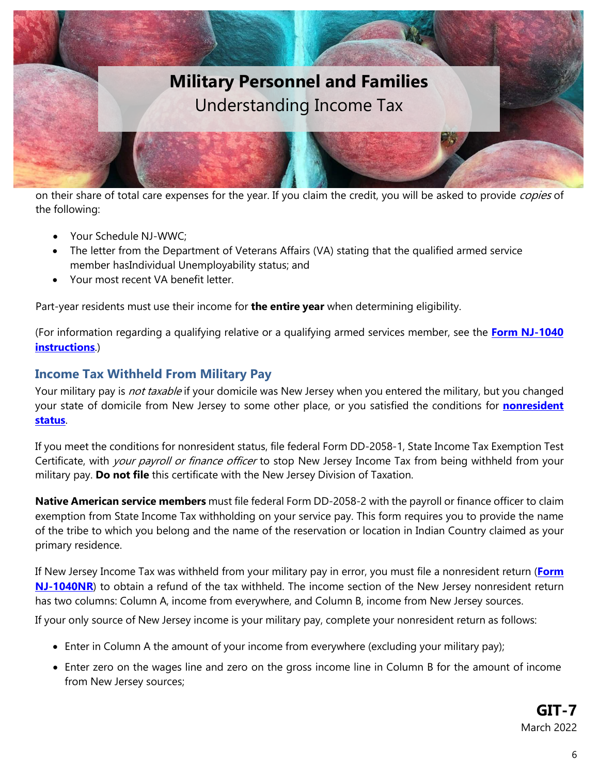

on their share of total care expenses for the year. If you claim the credit, you will be asked to provide copies of the following:

- Your Schedule NJ-WWC;
- The letter from the Department of Veterans Affairs (VA) stating that the qualified armed service member hasIndividual Unemployability status; and
- Your most recent VA benefit letter.

Part-year residents must use their income for **the entire year** when determining eligibility.

(For information regarding a qualifying relative or a qualifying armed services member, see the **[Form NJ-1040](https://www.state.nj.us/treasury/taxation/pdf/current/1040i.pdf) [instructions](https://www.state.nj.us/treasury/taxation/pdf/current/1040i.pdf)**.)

#### <span id="page-5-0"></span>**Income Tax Withheld From Military Pay**

Your military pay is not taxable if your domicile was New Jersey when you entered the military, but you changed your state of domicile from New Jersey to some other place, or you satisfied the conditions for **[nonresident](#page-2-1) [status](#page-2-1)**.

If you meet the conditions for nonresident status, file federal Form DD-2058-1, State Income Tax Exemption Test Certificate, with your payroll or finance officer to stop New Jersey Income Tax from being withheld from your military pay. **Do not file** this certificate with the New Jersey Division of Taxation.

**Native American service members** must file federal Form DD-2058-2 with the payroll or finance officer to claim exemption from State Income Tax withholding on your service pay. This form requires you to provide the name of the tribe to which you belong and the name of the reservation or location in Indian Country claimed as your primary residence.

If New Jersey Income Tax was withheld from your military pay in error, you must file a nonresident return (**[Form](http://www.state.nj.us/treasury/taxation/prntgit.shtml) [NJ-1040NR](http://www.state.nj.us/treasury/taxation/prntgit.shtml)**) to obtain a refund of the tax withheld. The income section of the New Jersey nonresident return has two columns: Column A, income from everywhere, and Column B, income from New Jersey sources.

If your only source of New Jersey income is your military pay, complete your nonresident return as follows:

- Enter in Column A the amount of your income from everywhere (excluding your military pay);
- Enter zero on the wages line and zero on the gross income line in Column B for the amount of income from New Jersey sources;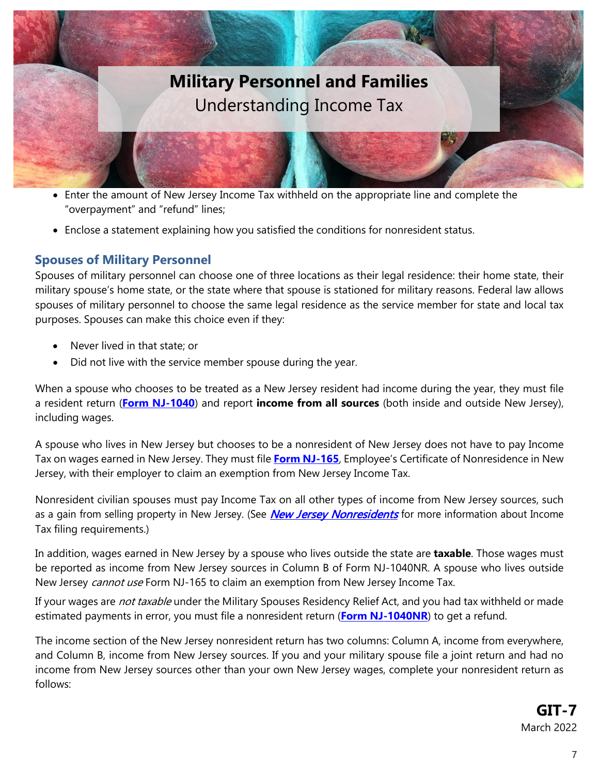

- Enter the amount of New Jersey Income Tax withheld on the appropriate line and complete the "overpayment" and "refund" lines;
- Enclose a statement explaining how you satisfied the conditions for nonresident status.

#### <span id="page-6-0"></span>**Spouses of Military Personnel**

Spouses of military personnel can choose one of three locations as their legal residence: their home state, their military spouse's home state, or the state where that spouse is stationed for military reasons. Federal law allows spouses of military personnel to choose the same legal residence as the service member for state and local tax purposes. Spouses can make this choice even if they:

- Never lived in that state; or
- Did not live with the service member spouse during the year.

When a spouse who chooses to be treated as a New Jersey resident had income during the year, they must file a resident return (**[Form NJ-1040](http://www.state.nj.us/treasury/taxation/prntgit.shtml)**) and report **income from all sources** (both inside and outside New Jersey), including wages.

A spouse who lives in New Jersey but chooses to be a nonresident of New Jersey does not have to pay Income Tax on wages earned in New Jersey. They must file **Form [NJ-165](http://www.state.nj.us/treasury/taxation/pdf/current/nj165.pdf)**, Employee's Certificate of Nonresidence in New Jersey, with their employer to claim an exemption from New Jersey Income Tax.

Nonresident civilian spouses must pay Income Tax on all other types of income from New Jersey sources, such as a gain from selling property in New Jersey. (See *New Jersey Nonresidents* for more information about Income Tax filing requirements.)

In addition, wages earned in New Jersey by a spouse who lives outside the state are **taxable**. Those wages must be reported as income from New Jersey sources in Column B of Form NJ-1040NR. A spouse who lives outside New Jersey *cannot use* Form NJ-165 to claim an exemption from New Jersey Income Tax.

If your wages are *not taxable* under the Military Spouses Residency Relief Act, and you had tax withheld or made estimated payments in error, you must file a nonresident return (**Form [NJ-1040NR](http://www.state.nj.us/treasury/taxation/prntgit.shtml)**) to get a refund.

The income section of the New Jersey nonresident return has two columns: Column A, income from everywhere, and Column B, income from New Jersey sources. If you and your military spouse file a joint return and had no income from New Jersey sources other than your own New Jersey wages, complete your nonresident return as follows: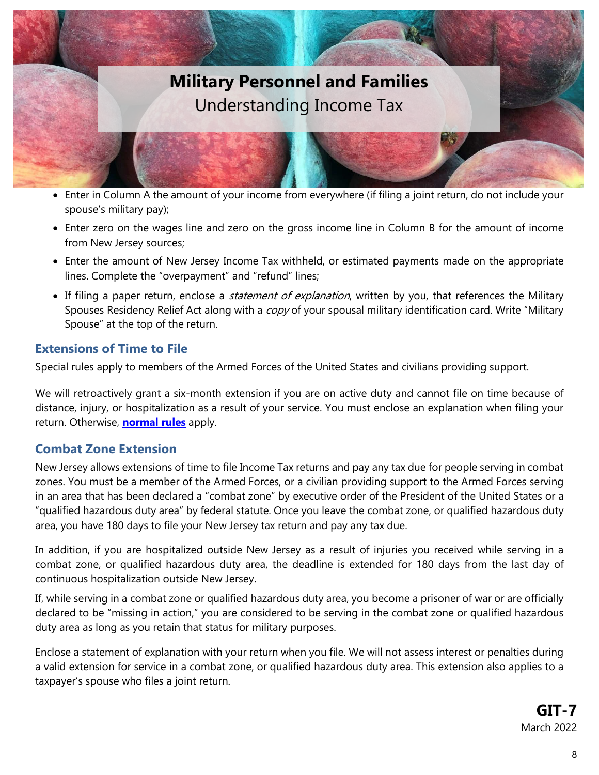

- Enter in Column A the amount of your income from everywhere (if filing a joint return, do not include your spouse's military pay);
- Enter zero on the wages line and zero on the gross income line in Column B for the amount of income from New Jersey sources;
- Enter the amount of New Jersey Income Tax withheld, or estimated payments made on the appropriate lines. Complete the "overpayment" and "refund" lines;
- If filing a paper return, enclose a *statement of explanation*, written by you, that references the Military Spouses Residency Relief Act along with a copy of your spousal military identification card. Write "Military Spouse" at the top of the return.

#### <span id="page-7-0"></span>**Extensions of Time to File**

Special rules apply to members of the Armed Forces of the United States and civilians providing support.

We will retroactively grant a six-month extension if you are on active duty and cannot file on time because of distance, injury, or hospitalization as a result of your service. You must enclose an explanation when filing your return. Otherwise, **[normal](https://www.state.nj.us/treasury/taxation/njit17.shtml) rules** apply.

#### <span id="page-7-1"></span>**Combat Zone Extension**

New Jersey allows extensions of time to file Income Tax returns and pay any tax due for people serving in combat zones. You must be a member of the Armed Forces, or a civilian providing support to the Armed Forces serving in an area that has been declared a "combat zone" by executive order of the President of the United States or a "qualified hazardous duty area" by federal statute. Once you leave the combat zone, or qualified hazardous duty area, you have 180 days to file your New Jersey tax return and pay any tax due.

In addition, if you are hospitalized outside New Jersey as a result of injuries you received while serving in a combat zone, or qualified hazardous duty area, the deadline is extended for 180 days from the last day of continuous hospitalization outside New Jersey.

If, while serving in a combat zone or qualified hazardous duty area, you become a prisoner of war or are officially declared to be "missing in action," you are considered to be serving in the combat zone or qualified hazardous duty area as long as you retain that status for military purposes.

Enclose a statement of explanation with your return when you file. We will not assess interest or penalties during a valid extension for service in a combat zone, or qualified hazardous duty area. This extension also applies to a taxpayer's spouse who files a joint return.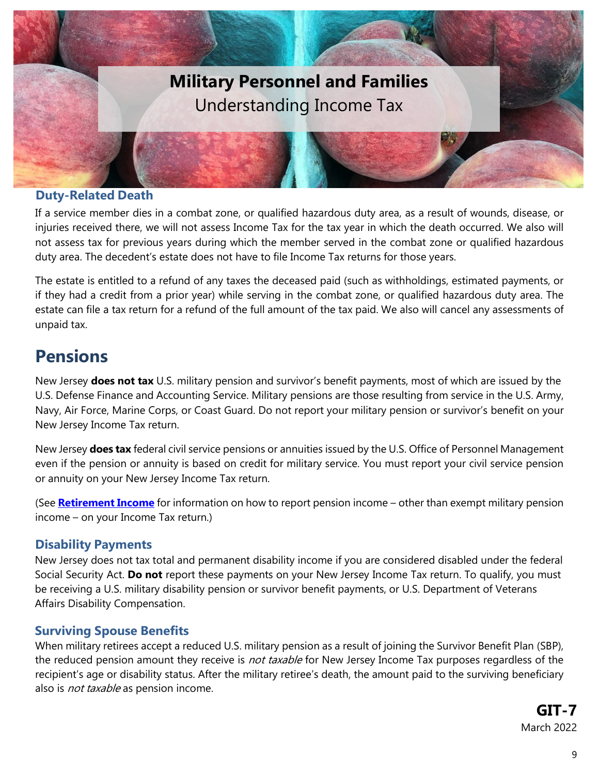

#### <span id="page-8-0"></span>**Duty-Related Death**

If a service member dies in a combat zone, or qualified hazardous duty area, as a result of wounds, disease, or injuries received there, we will not assess Income Tax for the tax year in which the death occurred. We also will not assess tax for previous years during which the member served in the combat zone or qualified hazardous duty area. The decedent's estate does not have to file Income Tax returns for those years.

The estate is entitled to a refund of any taxes the deceased paid (such as withholdings, estimated payments, or if they had a credit from a prior year) while serving in the combat zone, or qualified hazardous duty area. The estate can file a tax return for a refund of the full amount of the tax paid. We also will cancel any assessments of unpaid tax.

### <span id="page-8-1"></span>**Pensions**

New Jersey **does not tax** U.S. military pension and survivor's benefit payments, most of which are issued by the U.S. Defense Finance and Accounting Service. Military pensions are those resulting from service in the U.S. Army, Navy, Air Force, Marine Corps, or Coast Guard. Do not report your military pension or survivor's benefit on your New Jersey Income Tax return.

New Jersey **does tax** federal civil service pensions or annuities issued by the U.S. Office of Personnel Management even if the pension or annuity is based on credit for military service. You must report your civil service pension or annuity on your New Jersey Income Tax return.

(See **[Retirement](https://www.state.nj.us/treasury/taxation/pdf/pubs/tgi-ee/git1&2.pdf) Income** for information on how to report pension income – other than exempt military pension income – on your Income Tax return.)

#### <span id="page-8-2"></span>**Disability Payments**

New Jersey does not tax total and permanent disability income if you are considered disabled under the federal Social Security Act. **Do not** report these payments on your New Jersey Income Tax return. To qualify, you must be receiving a U.S. military disability pension or survivor benefit payments, or U.S. Department of Veterans Affairs Disability Compensation.

#### <span id="page-8-3"></span>**Surviving Spouse Benefits**

When military retirees accept a reduced U.S. military pension as a result of joining the Survivor Benefit Plan (SBP), the reduced pension amount they receive is *not taxable* for New Jersey Income Tax purposes regardless of the recipient's age or disability status. After the military retiree's death, the amount paid to the surviving beneficiary also is *not taxable* as pension income.

> **GIT-7** March 2022